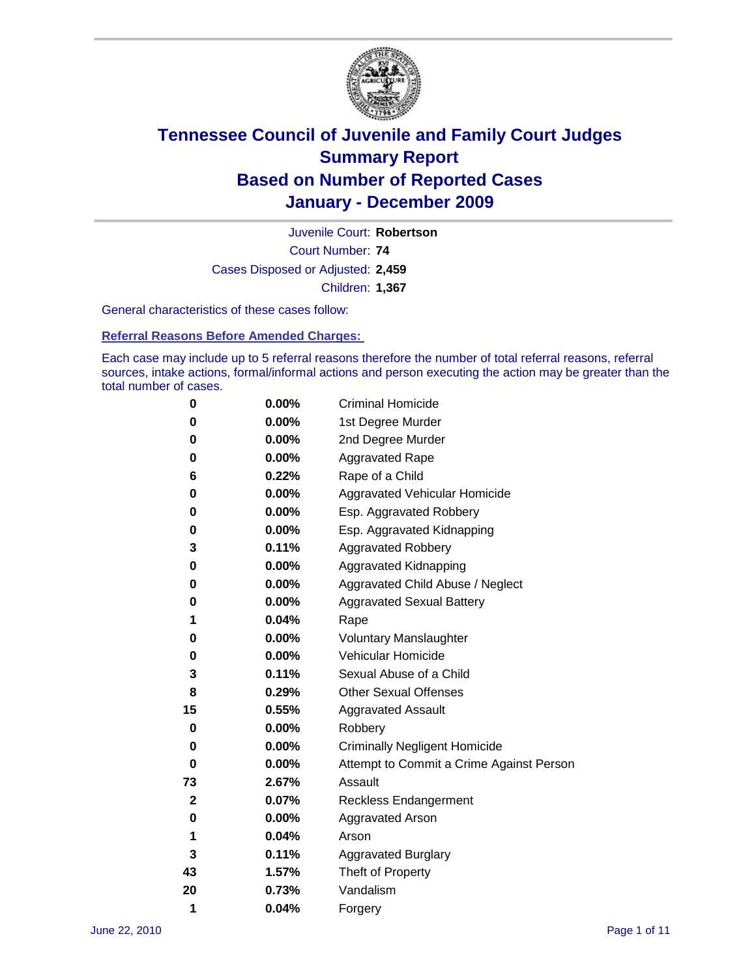

Court Number: **74** Juvenile Court: **Robertson** Cases Disposed or Adjusted: **2,459** Children: **1,367**

General characteristics of these cases follow:

**Referral Reasons Before Amended Charges:** 

Each case may include up to 5 referral reasons therefore the number of total referral reasons, referral sources, intake actions, formal/informal actions and person executing the action may be greater than the total number of cases.

| 0            | 0.00%    | <b>Criminal Homicide</b>                 |
|--------------|----------|------------------------------------------|
| 0            | 0.00%    | 1st Degree Murder                        |
| 0            | 0.00%    | 2nd Degree Murder                        |
| 0            | 0.00%    | <b>Aggravated Rape</b>                   |
| 6            | 0.22%    | Rape of a Child                          |
| 0            | 0.00%    | Aggravated Vehicular Homicide            |
| 0            | 0.00%    | Esp. Aggravated Robbery                  |
| 0            | 0.00%    | Esp. Aggravated Kidnapping               |
| 3            | 0.11%    | <b>Aggravated Robbery</b>                |
| 0            | 0.00%    | Aggravated Kidnapping                    |
| 0            | 0.00%    | Aggravated Child Abuse / Neglect         |
| 0            | $0.00\%$ | <b>Aggravated Sexual Battery</b>         |
| 1            | 0.04%    | Rape                                     |
| 0            | 0.00%    | <b>Voluntary Manslaughter</b>            |
| 0            | 0.00%    | Vehicular Homicide                       |
| 3            | 0.11%    | Sexual Abuse of a Child                  |
| 8            | 0.29%    | <b>Other Sexual Offenses</b>             |
| 15           | 0.55%    | <b>Aggravated Assault</b>                |
| 0            | $0.00\%$ | Robbery                                  |
| 0            | 0.00%    | <b>Criminally Negligent Homicide</b>     |
| 0            | 0.00%    | Attempt to Commit a Crime Against Person |
| 73           | 2.67%    | Assault                                  |
| $\mathbf{2}$ | 0.07%    | <b>Reckless Endangerment</b>             |
| 0            | 0.00%    | <b>Aggravated Arson</b>                  |
| 1            | 0.04%    | Arson                                    |
| 3            | 0.11%    | <b>Aggravated Burglary</b>               |
| 43           | 1.57%    | Theft of Property                        |
| 20           | 0.73%    | Vandalism                                |
| 1            | 0.04%    | Forgery                                  |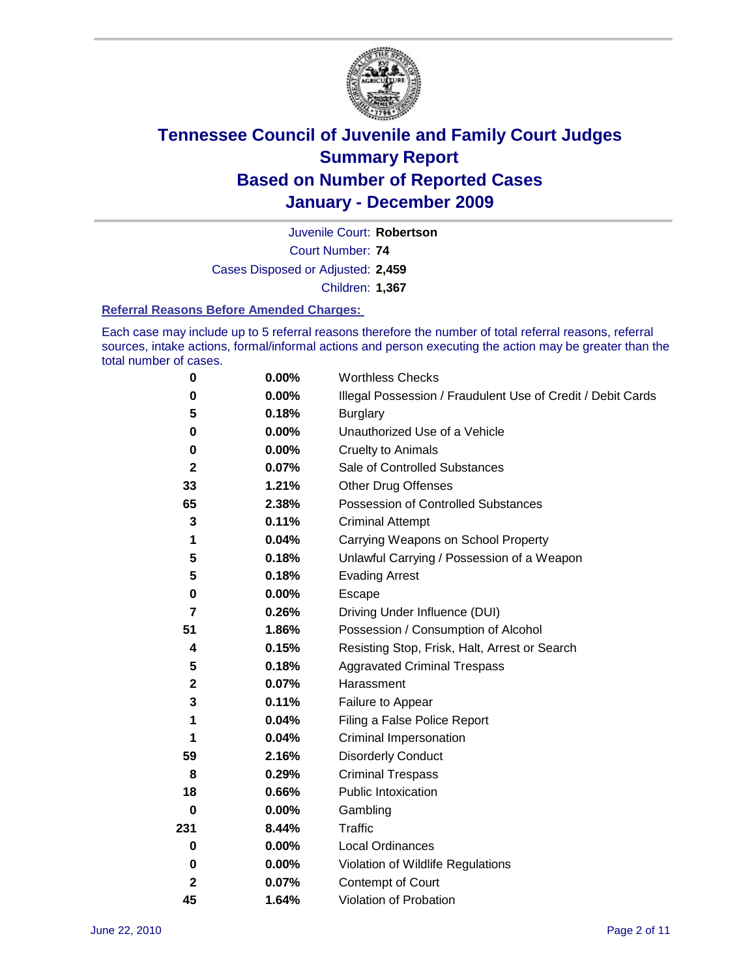

Court Number: **74** Juvenile Court: **Robertson** Cases Disposed or Adjusted: **2,459** Children: **1,367**

#### **Referral Reasons Before Amended Charges:**

Each case may include up to 5 referral reasons therefore the number of total referral reasons, referral sources, intake actions, formal/informal actions and person executing the action may be greater than the total number of cases.

| $\pmb{0}$      | 0.00%    | <b>Worthless Checks</b>                                     |
|----------------|----------|-------------------------------------------------------------|
| 0              | 0.00%    | Illegal Possession / Fraudulent Use of Credit / Debit Cards |
| 5              | 0.18%    | <b>Burglary</b>                                             |
| $\bf{0}$       | $0.00\%$ | Unauthorized Use of a Vehicle                               |
| 0              | $0.00\%$ | <b>Cruelty to Animals</b>                                   |
| $\mathbf{2}$   | 0.07%    | Sale of Controlled Substances                               |
| 33             | 1.21%    | <b>Other Drug Offenses</b>                                  |
| 65             | 2.38%    | Possession of Controlled Substances                         |
| 3              | 0.11%    | <b>Criminal Attempt</b>                                     |
| 1              | 0.04%    | Carrying Weapons on School Property                         |
| 5              | 0.18%    | Unlawful Carrying / Possession of a Weapon                  |
| 5              | 0.18%    | <b>Evading Arrest</b>                                       |
| 0              | 0.00%    | Escape                                                      |
| $\overline{7}$ | 0.26%    | Driving Under Influence (DUI)                               |
| 51             | 1.86%    | Possession / Consumption of Alcohol                         |
| 4              | 0.15%    | Resisting Stop, Frisk, Halt, Arrest or Search               |
| 5              | 0.18%    | <b>Aggravated Criminal Trespass</b>                         |
| $\mathbf 2$    | 0.07%    | Harassment                                                  |
| 3              | 0.11%    | Failure to Appear                                           |
| 1              | 0.04%    | Filing a False Police Report                                |
| 1              | 0.04%    | Criminal Impersonation                                      |
| 59             | 2.16%    | <b>Disorderly Conduct</b>                                   |
| 8              | 0.29%    | <b>Criminal Trespass</b>                                    |
| 18             | 0.66%    | Public Intoxication                                         |
| 0              | $0.00\%$ | Gambling                                                    |
| 231            | 8.44%    | Traffic                                                     |
| 0              | $0.00\%$ | Local Ordinances                                            |
| 0              | 0.00%    | Violation of Wildlife Regulations                           |
| $\mathbf{2}$   | 0.07%    | Contempt of Court                                           |
| 45             | 1.64%    | Violation of Probation                                      |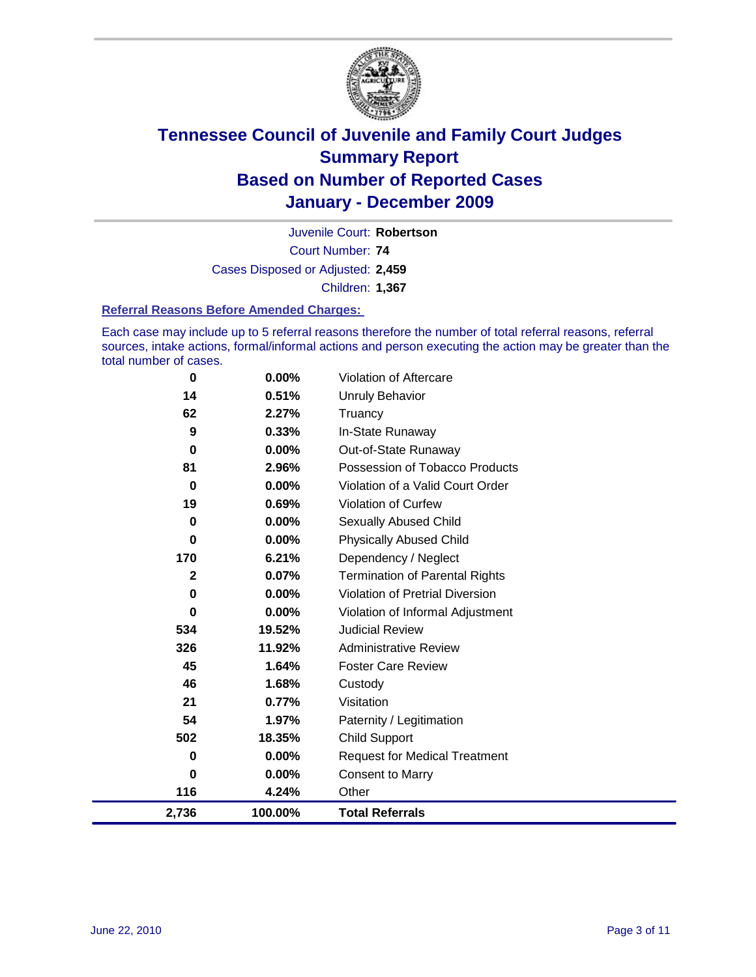

Court Number: **74** Juvenile Court: **Robertson** Cases Disposed or Adjusted: **2,459** Children: **1,367**

#### **Referral Reasons Before Amended Charges:**

Each case may include up to 5 referral reasons therefore the number of total referral reasons, referral sources, intake actions, formal/informal actions and person executing the action may be greater than the total number of cases.

| $\bf{0}$     | 0.00%    | Violation of Aftercare                 |
|--------------|----------|----------------------------------------|
| 14           | 0.51%    | <b>Unruly Behavior</b>                 |
| 62           | 2.27%    | Truancy                                |
| 9            | 0.33%    | In-State Runaway                       |
| 0            | $0.00\%$ | Out-of-State Runaway                   |
| 81           | 2.96%    | Possession of Tobacco Products         |
| $\bf{0}$     | $0.00\%$ | Violation of a Valid Court Order       |
| 19           | 0.69%    | Violation of Curfew                    |
| 0            | $0.00\%$ | Sexually Abused Child                  |
| $\mathbf 0$  | 0.00%    | <b>Physically Abused Child</b>         |
| 170          | 6.21%    | Dependency / Neglect                   |
| $\mathbf{2}$ | 0.07%    | <b>Termination of Parental Rights</b>  |
| 0            | 0.00%    | <b>Violation of Pretrial Diversion</b> |
| 0            | $0.00\%$ | Violation of Informal Adjustment       |
| 534          | 19.52%   | <b>Judicial Review</b>                 |
| 326          | 11.92%   | <b>Administrative Review</b>           |
| 45           | 1.64%    | <b>Foster Care Review</b>              |
| 46           | 1.68%    | Custody                                |
| 21           | 0.77%    | Visitation                             |
| 54           | 1.97%    | Paternity / Legitimation               |
| 502          | 18.35%   | <b>Child Support</b>                   |
| 0            | 0.00%    | <b>Request for Medical Treatment</b>   |
| 0            | $0.00\%$ | <b>Consent to Marry</b>                |
| 116          | 4.24%    | Other                                  |
| 2,736        | 100.00%  | <b>Total Referrals</b>                 |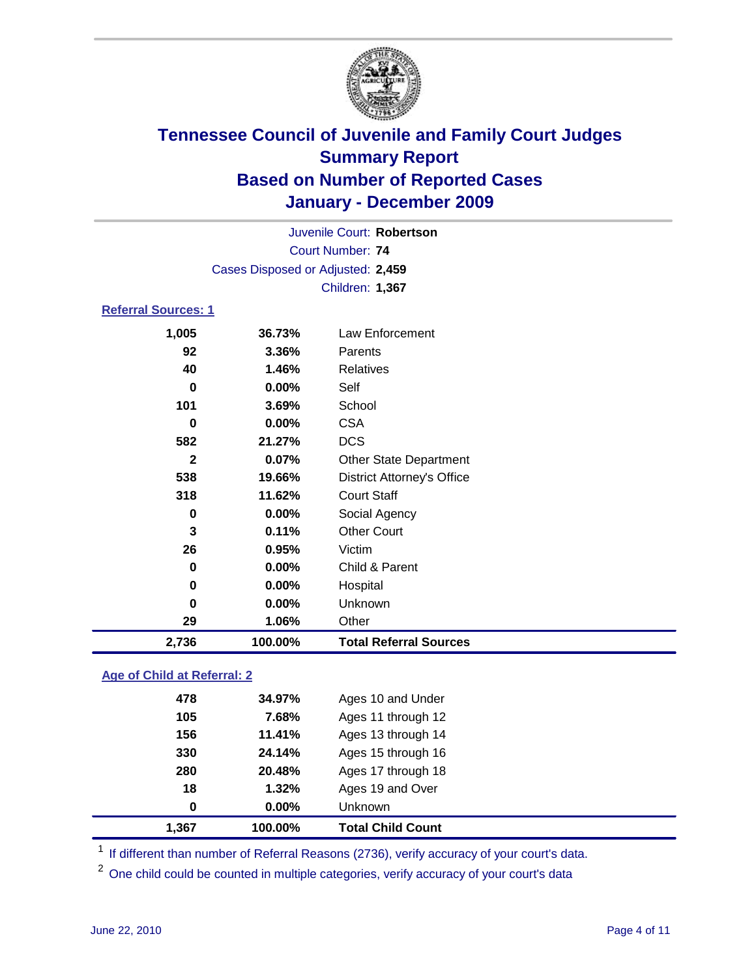

|                     |                                   | Juvenile Court: Robertson         |  |
|---------------------|-----------------------------------|-----------------------------------|--|
|                     |                                   | <b>Court Number: 74</b>           |  |
|                     | Cases Disposed or Adjusted: 2,459 |                                   |  |
|                     |                                   | Children: 1,367                   |  |
| Referral Sources: 1 |                                   |                                   |  |
| 1,005               | 36.73%                            | Law Enforcement                   |  |
| 92                  | 3.36%                             | Parents                           |  |
| 40                  | 1.46%                             | Relatives                         |  |
| 0                   | 0.00%                             | Self                              |  |
| 101                 | 3.69%                             | School                            |  |
| 0                   | 0.00%                             | <b>CSA</b>                        |  |
| 582                 | 21.27%                            | <b>DCS</b>                        |  |
| $\mathbf{2}$        | 0.07%                             | <b>Other State Department</b>     |  |
| 538                 | 19.66%                            | <b>District Attorney's Office</b> |  |
| 318                 | 11.62%                            | <b>Court Staff</b>                |  |
| 0                   | 0.00%                             | Social Agency                     |  |
| 3                   | 0.11%                             | <b>Other Court</b>                |  |
| 26                  | 0.95%                             | Victim                            |  |
| 0                   | 0.00%                             | Child & Parent                    |  |
| 0                   | 0.00%                             | Hospital                          |  |
| 0                   | 0.00%                             | Unknown                           |  |

**29 1.06%** Other **2,736 100.00% Total Referral Sources**

### **Age of Child at Referral: 2**

| 1,367 | 100.00%  | <b>Total Child Count</b> |
|-------|----------|--------------------------|
| 0     | $0.00\%$ | <b>Unknown</b>           |
| 18    | 1.32%    | Ages 19 and Over         |
| 280   | 20.48%   | Ages 17 through 18       |
| 330   | 24.14%   | Ages 15 through 16       |
| 156   | 11.41%   | Ages 13 through 14       |
| 105   | 7.68%    | Ages 11 through 12       |
| 478   | 34.97%   | Ages 10 and Under        |
|       |          |                          |

<sup>1</sup> If different than number of Referral Reasons (2736), verify accuracy of your court's data.

<sup>2</sup> One child could be counted in multiple categories, verify accuracy of your court's data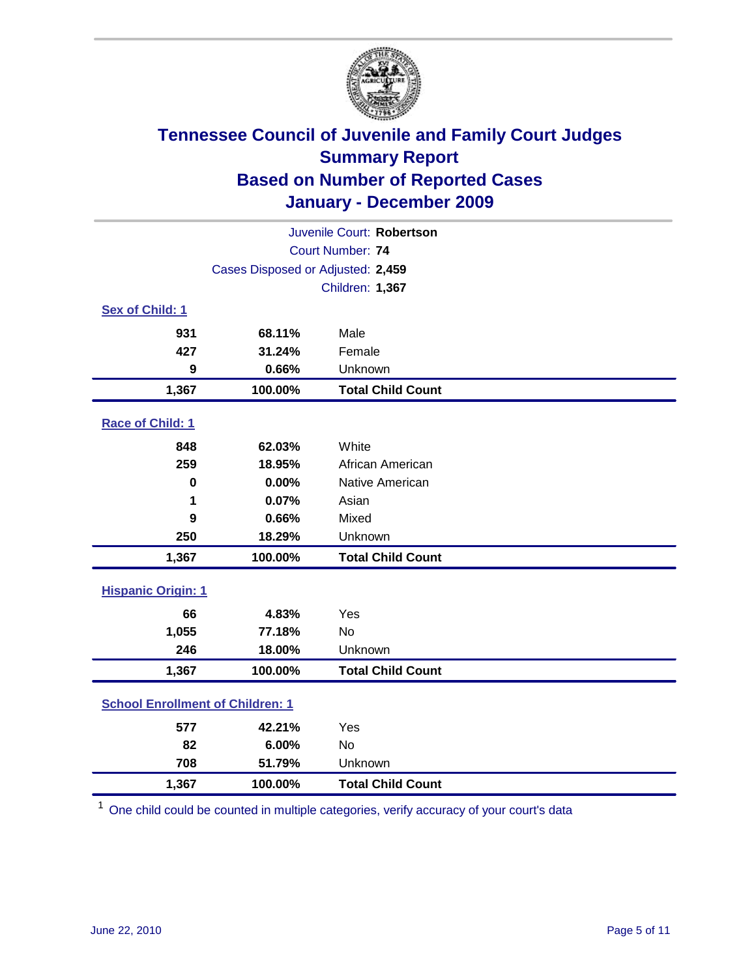

| Juvenile Court: Robertson               |                                   |                          |  |  |  |
|-----------------------------------------|-----------------------------------|--------------------------|--|--|--|
|                                         | <b>Court Number: 74</b>           |                          |  |  |  |
|                                         | Cases Disposed or Adjusted: 2,459 |                          |  |  |  |
|                                         |                                   | Children: 1,367          |  |  |  |
| Sex of Child: 1                         |                                   |                          |  |  |  |
| 931                                     | 68.11%                            | Male                     |  |  |  |
| 427                                     | 31.24%                            | Female                   |  |  |  |
| 9                                       | 0.66%                             | Unknown                  |  |  |  |
| 1,367                                   | 100.00%                           | <b>Total Child Count</b> |  |  |  |
| Race of Child: 1                        |                                   |                          |  |  |  |
| 848                                     | 62.03%                            | White                    |  |  |  |
| 259                                     | 18.95%                            | African American         |  |  |  |
| $\mathbf 0$                             | 0.00%                             | Native American          |  |  |  |
| 1                                       | 0.07%                             | Asian                    |  |  |  |
| 9                                       | 0.66%                             | Mixed                    |  |  |  |
| 250                                     | 18.29%                            | Unknown                  |  |  |  |
| 1,367                                   | 100.00%                           | <b>Total Child Count</b> |  |  |  |
| <b>Hispanic Origin: 1</b>               |                                   |                          |  |  |  |
| 66                                      | 4.83%                             | Yes                      |  |  |  |
| 1,055                                   | 77.18%                            | <b>No</b>                |  |  |  |
| 246                                     | 18.00%                            | Unknown                  |  |  |  |
| 1,367                                   | 100.00%                           | <b>Total Child Count</b> |  |  |  |
| <b>School Enrollment of Children: 1</b> |                                   |                          |  |  |  |
| 577                                     | 42.21%                            | Yes                      |  |  |  |
| 82                                      | 6.00%                             | No                       |  |  |  |
| 708                                     | 51.79%                            | Unknown                  |  |  |  |
| 1,367                                   | 100.00%                           | <b>Total Child Count</b> |  |  |  |

<sup>1</sup> One child could be counted in multiple categories, verify accuracy of your court's data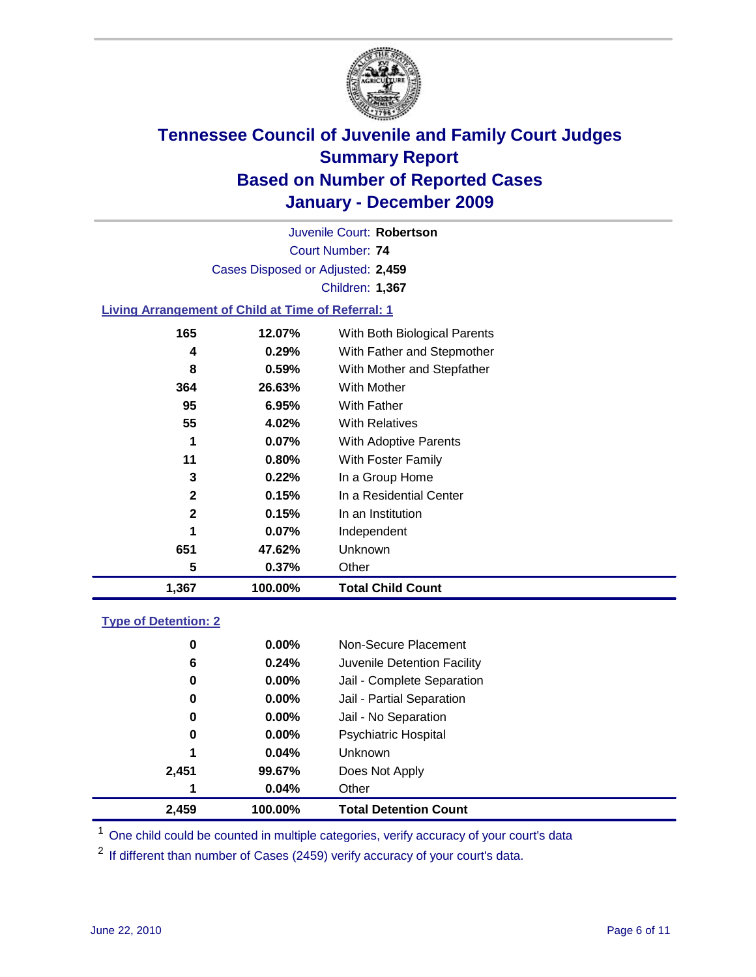

Court Number: **74** Juvenile Court: **Robertson** Cases Disposed or Adjusted: **2,459** Children: **1,367**

### **Living Arrangement of Child at Time of Referral: 1**

| 1,367        | 100.00% | <b>Total Child Count</b>     |  |
|--------------|---------|------------------------------|--|
| 5            | 0.37%   | Other                        |  |
| 651          | 47.62%  | Unknown                      |  |
| 1            | 0.07%   | Independent                  |  |
| $\mathbf{2}$ | 0.15%   | In an Institution            |  |
| $\mathbf{2}$ | 0.15%   | In a Residential Center      |  |
| 3            | 0.22%   | In a Group Home              |  |
| 11           | 0.80%   | With Foster Family           |  |
| 1            | 0.07%   | With Adoptive Parents        |  |
| 55           | 4.02%   | <b>With Relatives</b>        |  |
| 95           | 6.95%   | <b>With Father</b>           |  |
| 364          | 26.63%  | <b>With Mother</b>           |  |
| 8            | 0.59%   | With Mother and Stepfather   |  |
| 4            | 0.29%   | With Father and Stepmother   |  |
| 165          | 12.07%  | With Both Biological Parents |  |
|              |         |                              |  |

#### **Type of Detention: 2**

| 2,459 | 100.00%  | <b>Total Detention Count</b> |
|-------|----------|------------------------------|
| 1     | 0.04%    | Other                        |
| 2,451 | 99.67%   | Does Not Apply               |
| 1     | 0.04%    | <b>Unknown</b>               |
| 0     | $0.00\%$ | Psychiatric Hospital         |
| 0     | 0.00%    | Jail - No Separation         |
| 0     | $0.00\%$ | Jail - Partial Separation    |
| 0     | 0.00%    | Jail - Complete Separation   |
| 6     | 0.24%    | Juvenile Detention Facility  |
| 0     | $0.00\%$ | Non-Secure Placement         |
|       |          |                              |

<sup>1</sup> One child could be counted in multiple categories, verify accuracy of your court's data

<sup>2</sup> If different than number of Cases (2459) verify accuracy of your court's data.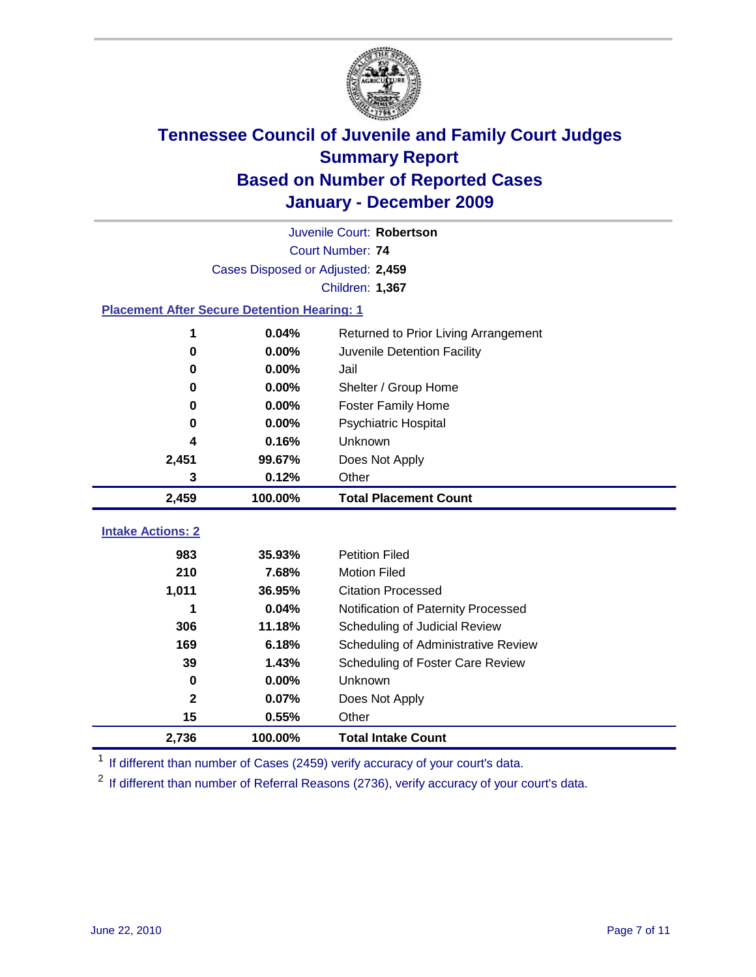

|                                                    | Juvenile Court: Robertson         |                                      |  |  |  |
|----------------------------------------------------|-----------------------------------|--------------------------------------|--|--|--|
|                                                    | Court Number: 74                  |                                      |  |  |  |
|                                                    | Cases Disposed or Adjusted: 2,459 |                                      |  |  |  |
|                                                    |                                   | Children: 1,367                      |  |  |  |
| <b>Placement After Secure Detention Hearing: 1</b> |                                   |                                      |  |  |  |
| 1                                                  | 0.04%                             | Returned to Prior Living Arrangement |  |  |  |
| $\bf{0}$                                           | 0.00%                             | Juvenile Detention Facility          |  |  |  |
| 0                                                  | 0.00%                             | Jail                                 |  |  |  |
| 0                                                  | 0.00%                             | Shelter / Group Home                 |  |  |  |
| 0                                                  | 0.00%                             | <b>Foster Family Home</b>            |  |  |  |
| 0                                                  | 0.00%                             | Psychiatric Hospital                 |  |  |  |
| 4                                                  | 0.16%                             | Unknown                              |  |  |  |
| 2,451                                              | 99.67%                            | Does Not Apply                       |  |  |  |
| 3                                                  | 0.12%                             | Other                                |  |  |  |
| 2,459                                              | 100.00%                           | <b>Total Placement Count</b>         |  |  |  |
| <b>Intake Actions: 2</b>                           |                                   |                                      |  |  |  |
|                                                    |                                   |                                      |  |  |  |
| 983                                                | 35.93%                            | <b>Petition Filed</b>                |  |  |  |
| 210                                                | 7.68%                             | <b>Motion Filed</b>                  |  |  |  |
| 1,011                                              | 36.95%                            | <b>Citation Processed</b>            |  |  |  |
|                                                    | 0.04%                             | Notification of Paternity Processed  |  |  |  |
| 306                                                | 11.18%                            | Scheduling of Judicial Review        |  |  |  |
| 169                                                | 6.18%                             | Scheduling of Administrative Review  |  |  |  |
| 39                                                 | 1.43%                             | Scheduling of Foster Care Review     |  |  |  |
| $\mathbf 0$                                        | 0.00%                             | Unknown                              |  |  |  |
| $\mathbf{2}$                                       | 0.07%                             | Does Not Apply                       |  |  |  |
| 15                                                 | 0.55%                             | Other                                |  |  |  |
| 2,736                                              | 100.00%                           | <b>Total Intake Count</b>            |  |  |  |

<sup>1</sup> If different than number of Cases (2459) verify accuracy of your court's data.

<sup>2</sup> If different than number of Referral Reasons (2736), verify accuracy of your court's data.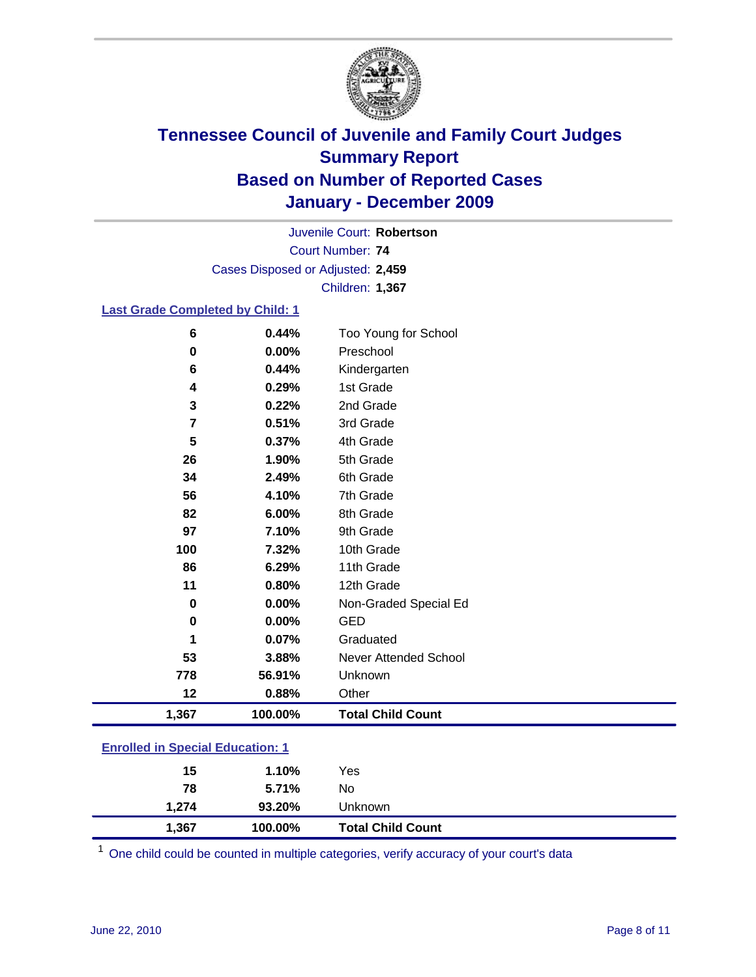

Court Number: **74** Juvenile Court: **Robertson** Cases Disposed or Adjusted: **2,459** Children: **1,367**

### **Last Grade Completed by Child: 1**

| 6                                       | 0.44%   | Too Young for School         |  |
|-----------------------------------------|---------|------------------------------|--|
| $\bf{0}$                                | 0.00%   | Preschool                    |  |
| 6                                       | 0.44%   | Kindergarten                 |  |
| 4                                       | 0.29%   | 1st Grade                    |  |
| 3                                       | 0.22%   | 2nd Grade                    |  |
| 7                                       | 0.51%   | 3rd Grade                    |  |
| 5                                       | 0.37%   | 4th Grade                    |  |
| 26                                      | 1.90%   | 5th Grade                    |  |
| 34                                      | 2.49%   | 6th Grade                    |  |
| 56                                      | 4.10%   | 7th Grade                    |  |
| 82                                      | 6.00%   | 8th Grade                    |  |
| 97                                      | 7.10%   | 9th Grade                    |  |
| 100                                     | 7.32%   | 10th Grade                   |  |
| 86                                      | 6.29%   | 11th Grade                   |  |
| 11                                      | 0.80%   | 12th Grade                   |  |
| 0                                       | 0.00%   | Non-Graded Special Ed        |  |
| $\bf{0}$                                | 0.00%   | <b>GED</b>                   |  |
| 1                                       | 0.07%   | Graduated                    |  |
| 53                                      | 3.88%   | <b>Never Attended School</b> |  |
| 778                                     | 56.91%  | Unknown                      |  |
| 12                                      | 0.88%   | Other                        |  |
| 1,367                                   | 100.00% | <b>Total Child Count</b>     |  |
| <b>Enrolled in Special Education: 1</b> |         |                              |  |

| 15    | 1.10%   | Yes                      |
|-------|---------|--------------------------|
| 78    | 5.71%   | No                       |
| 1,274 | 93.20%  | Unknown                  |
| 1,367 | 100.00% | <b>Total Child Count</b> |

One child could be counted in multiple categories, verify accuracy of your court's data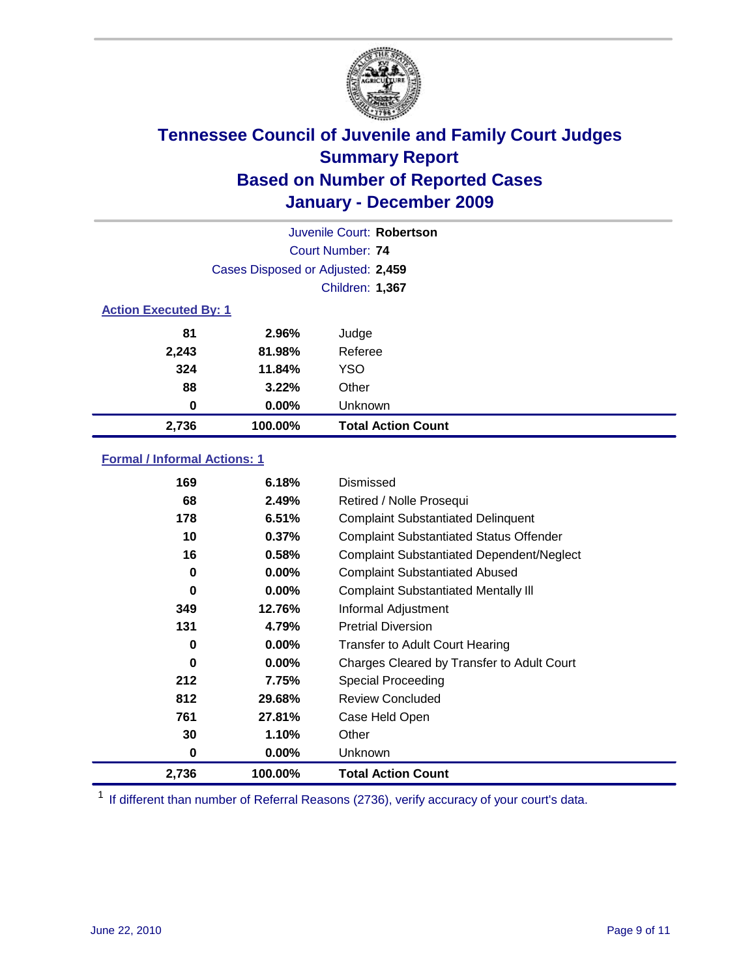

|                              | Juvenile Court: Robertson         |                           |  |  |
|------------------------------|-----------------------------------|---------------------------|--|--|
|                              | Court Number: 74                  |                           |  |  |
|                              | Cases Disposed or Adjusted: 2,459 |                           |  |  |
|                              | Children: 1,367                   |                           |  |  |
| <b>Action Executed By: 1</b> |                                   |                           |  |  |
| 81                           | 2.96%                             | Judge                     |  |  |
| 2,243                        | 81.98%                            | Referee                   |  |  |
| 324                          | 11.84%                            | <b>YSO</b>                |  |  |
| 88                           | 3.22%                             | Other                     |  |  |
| 0                            | 0.00%                             | Unknown                   |  |  |
| 2,736                        | 100.00%                           | <b>Total Action Count</b> |  |  |

### **Formal / Informal Actions: 1**

| 169      | 6.18%    | Dismissed                                        |
|----------|----------|--------------------------------------------------|
| 68       | 2.49%    | Retired / Nolle Prosequi                         |
| 178      | 6.51%    | <b>Complaint Substantiated Delinquent</b>        |
| 10       | 0.37%    | <b>Complaint Substantiated Status Offender</b>   |
| 16       | 0.58%    | <b>Complaint Substantiated Dependent/Neglect</b> |
| 0        | $0.00\%$ | <b>Complaint Substantiated Abused</b>            |
| $\bf{0}$ | $0.00\%$ | <b>Complaint Substantiated Mentally III</b>      |
| 349      | 12.76%   | Informal Adjustment                              |
| 131      | 4.79%    | <b>Pretrial Diversion</b>                        |
| 0        | $0.00\%$ | <b>Transfer to Adult Court Hearing</b>           |
| 0        | 0.00%    | Charges Cleared by Transfer to Adult Court       |
| 212      | 7.75%    | Special Proceeding                               |
| 812      | 29.68%   | <b>Review Concluded</b>                          |
| 761      | 27.81%   | Case Held Open                                   |
| 30       | 1.10%    | Other                                            |
| 0        | $0.00\%$ | <b>Unknown</b>                                   |
| 2,736    | 100.00%  | <b>Total Action Count</b>                        |

<sup>1</sup> If different than number of Referral Reasons (2736), verify accuracy of your court's data.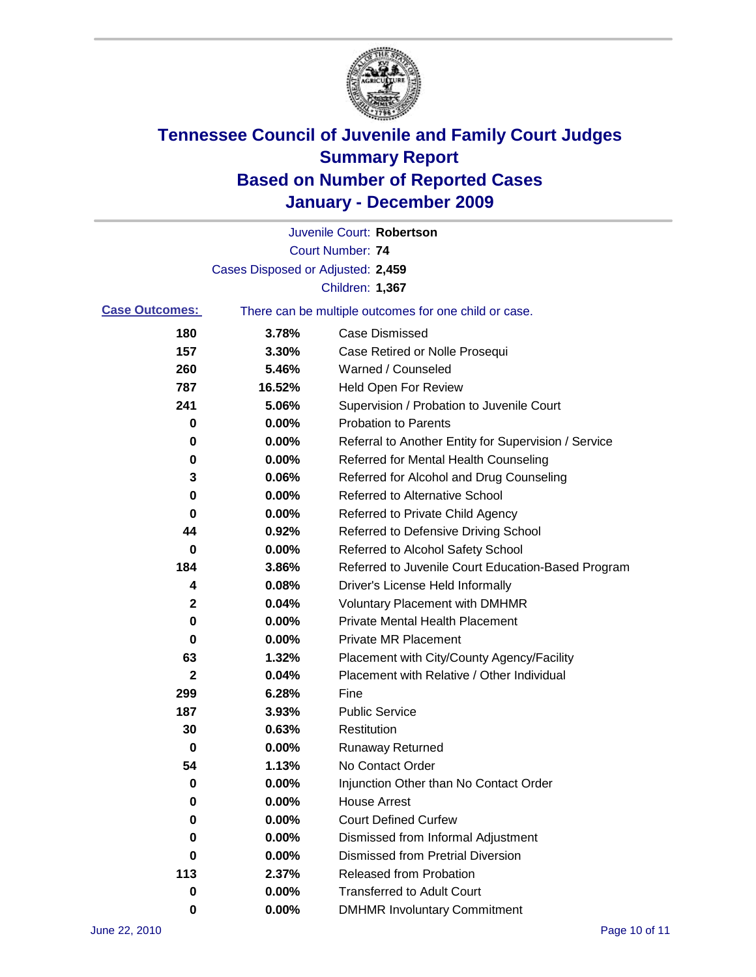

|                       |                                                       | Juvenile Court: Robertson                            |  |
|-----------------------|-------------------------------------------------------|------------------------------------------------------|--|
|                       |                                                       | <b>Court Number: 74</b>                              |  |
|                       | Cases Disposed or Adjusted: 2,459                     |                                                      |  |
|                       |                                                       | Children: 1,367                                      |  |
| <b>Case Outcomes:</b> | There can be multiple outcomes for one child or case. |                                                      |  |
| 180                   | 3.78%                                                 | <b>Case Dismissed</b>                                |  |
| 157                   | 3.30%                                                 | Case Retired or Nolle Prosequi                       |  |
| 260                   | 5.46%                                                 | Warned / Counseled                                   |  |
| 787                   | 16.52%                                                | Held Open For Review                                 |  |
| 241                   | 5.06%                                                 | Supervision / Probation to Juvenile Court            |  |
| 0                     | 0.00%                                                 | <b>Probation to Parents</b>                          |  |
| 0                     | 0.00%                                                 | Referral to Another Entity for Supervision / Service |  |
| 0                     | 0.00%                                                 | Referred for Mental Health Counseling                |  |
| 3                     | 0.06%                                                 | Referred for Alcohol and Drug Counseling             |  |
| 0                     | 0.00%                                                 | Referred to Alternative School                       |  |
| 0                     | 0.00%                                                 | Referred to Private Child Agency                     |  |
| 44                    | 0.92%                                                 | Referred to Defensive Driving School                 |  |
| 0                     | 0.00%                                                 | Referred to Alcohol Safety School                    |  |
| 184                   | 3.86%                                                 | Referred to Juvenile Court Education-Based Program   |  |
| 4                     | 0.08%                                                 | Driver's License Held Informally                     |  |
| $\mathbf 2$           | 0.04%                                                 | <b>Voluntary Placement with DMHMR</b>                |  |
| 0                     | 0.00%                                                 | <b>Private Mental Health Placement</b>               |  |
| 0                     | 0.00%                                                 | <b>Private MR Placement</b>                          |  |
| 63                    | 1.32%                                                 | Placement with City/County Agency/Facility           |  |
| $\mathbf 2$           | 0.04%                                                 | Placement with Relative / Other Individual           |  |
| 299                   | 6.28%                                                 | Fine                                                 |  |
| 187                   | 3.93%                                                 | <b>Public Service</b>                                |  |
| 30                    | 0.63%                                                 | Restitution                                          |  |
| 0                     | 0.00%                                                 | <b>Runaway Returned</b>                              |  |
| 54                    | 1.13%                                                 | No Contact Order                                     |  |
| 0                     | 0.00%                                                 | Injunction Other than No Contact Order               |  |
| 0                     | 0.00%                                                 | <b>House Arrest</b>                                  |  |
| 0                     | 0.00%                                                 | <b>Court Defined Curfew</b>                          |  |
| 0                     | 0.00%                                                 | Dismissed from Informal Adjustment                   |  |
| 0                     | 0.00%                                                 | <b>Dismissed from Pretrial Diversion</b>             |  |
| 113                   | 2.37%                                                 | Released from Probation                              |  |
| 0                     | 0.00%                                                 | <b>Transferred to Adult Court</b>                    |  |
| 0                     | $0.00\%$                                              | <b>DMHMR Involuntary Commitment</b>                  |  |